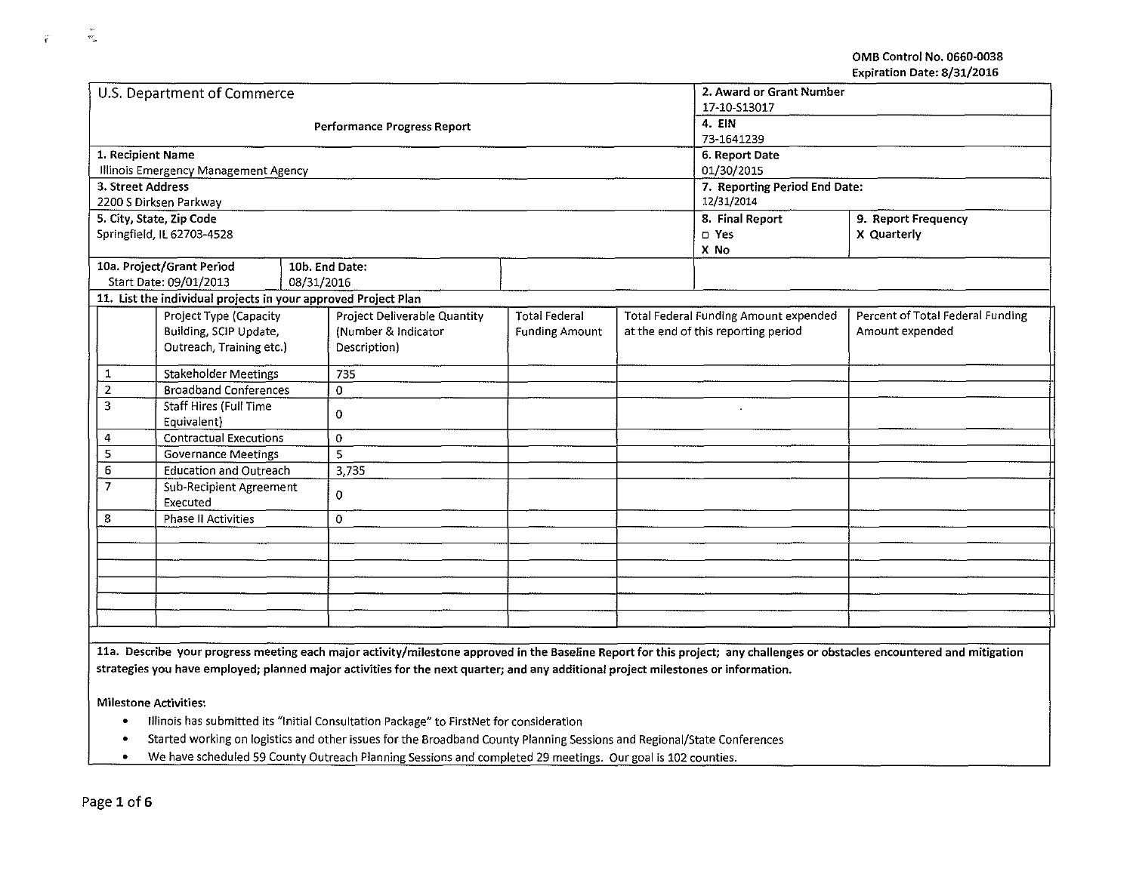OMB Control No. 0660-0038 Expiration Date: 8/31/2016

|                                           | U.S. Department of Commerce                                    |            |                                    | 2. Award or Grant Number |  |                                       |                                  |  |
|-------------------------------------------|----------------------------------------------------------------|------------|------------------------------------|--------------------------|--|---------------------------------------|----------------------------------|--|
|                                           |                                                                |            |                                    | 17-10-S13017             |  |                                       |                                  |  |
|                                           |                                                                |            | <b>Performance Progress Report</b> | 4. EIN                   |  |                                       |                                  |  |
|                                           |                                                                |            |                                    | 73-1641239               |  |                                       |                                  |  |
|                                           | 1. Recipient Name                                              |            |                                    |                          |  | 6. Report Date                        |                                  |  |
|                                           | Illinois Emergency Management Agency                           |            |                                    |                          |  | 01/30/2015                            |                                  |  |
|                                           | 3. Street Address                                              |            |                                    |                          |  | 7. Reporting Period End Date:         |                                  |  |
|                                           | 2200 S Dirksen Parkway                                         |            |                                    |                          |  | 12/31/2014                            |                                  |  |
|                                           | 5. City, State, Zip Code                                       |            |                                    |                          |  | 8. Final Report                       | 9. Report Frequency              |  |
|                                           | Springfield, IL 62703-4528                                     |            |                                    |                          |  | o Yes                                 | X Quarterly                      |  |
|                                           |                                                                |            |                                    |                          |  | X No                                  |                                  |  |
|                                           | 10a. Project/Grant Period                                      |            | 10b. End Date:                     |                          |  |                                       |                                  |  |
|                                           | Start Date: 09/01/2013                                         | 08/31/2016 |                                    |                          |  |                                       |                                  |  |
|                                           | 11. List the individual projects in your approved Project Plan |            |                                    |                          |  |                                       |                                  |  |
|                                           | Project Type (Capacity                                         |            | Project Deliverable Quantity       | <b>Total Federal</b>     |  | Total Federal Funding Amount expended | Percent of Total Federal Funding |  |
|                                           | Building, SCIP Update,                                         |            | (Number & Indicator                | <b>Funding Amount</b>    |  | at the end of this reporting period   | Amount expended                  |  |
|                                           | Outreach, Training etc.)                                       |            | Description)                       |                          |  |                                       |                                  |  |
| 1                                         | <b>Stakeholder Meetings</b>                                    |            | 735                                |                          |  |                                       |                                  |  |
| $\overline{2}$                            | <b>Broadband Conferences</b>                                   |            | 0                                  |                          |  |                                       |                                  |  |
| 3                                         | Staff Hires (Full Time                                         |            |                                    |                          |  |                                       |                                  |  |
|                                           | Equivalent)                                                    |            | 0                                  |                          |  |                                       |                                  |  |
| 4                                         | <b>Contractual Executions</b>                                  |            | 0                                  |                          |  |                                       |                                  |  |
| 5                                         | <b>Governance Meetings</b>                                     |            | 5                                  |                          |  |                                       |                                  |  |
| 6                                         | <b>Education and Outreach</b>                                  |            | 3,735                              |                          |  |                                       |                                  |  |
| $\overline{7}$<br>Sub-Recipient Agreement |                                                                | 0          |                                    |                          |  |                                       |                                  |  |
| Executed                                  |                                                                |            |                                    |                          |  |                                       |                                  |  |
| 8<br>Phase II Activities                  |                                                                | 0          |                                    |                          |  |                                       |                                  |  |
|                                           |                                                                |            |                                    |                          |  |                                       |                                  |  |
|                                           |                                                                |            |                                    |                          |  |                                       |                                  |  |
|                                           |                                                                |            |                                    |                          |  |                                       |                                  |  |
|                                           |                                                                |            |                                    |                          |  |                                       |                                  |  |
|                                           |                                                                |            |                                    |                          |  |                                       |                                  |  |
|                                           |                                                                |            |                                    |                          |  |                                       |                                  |  |
|                                           |                                                                |            |                                    |                          |  |                                       |                                  |  |

lla. Describe your progress meeting each major activity/milestone approved in the Baseline Report for this project; any challenges or obstacles encountered and mitigation strategies you have employed; planned major activities for the next quarter; and any additional project milestones or information.

Milestone Activities:

- Illinois has submitted its "Initial Consultation Package" to FirstNet for consideration
- Started working on logistics and other issues for the Broadband County Planning Sessions and Regional/State Conferences
- We have scheduled 59 County Outreach Planning Sessions and completed 29 meetings. Our goal is 102 counties.

 $\mathcal{B}_{\infty}^{\infty}$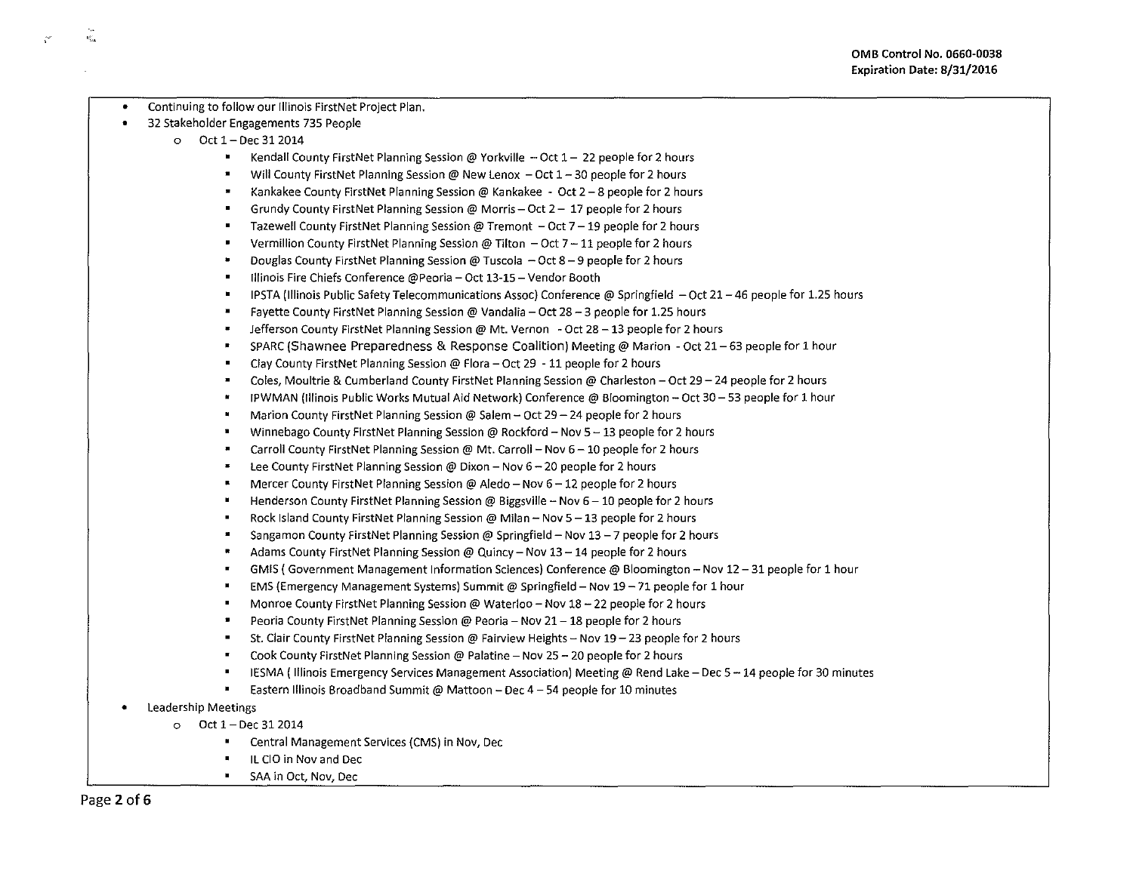- Continuing to follow our Illinois FirstNet Project Plan. • 32 Stakeholder Engagements 735 People o Oct 1- Dec <sup>312014</sup>  $\blacksquare$ Kendall County FirstNet Planning Session @ Yorkville  $-$  Oct  $1-22$  people for 2 hours Will County FirstNet Planning Session @ New Lenox  $-$  Oct  $1-30$  people for 2 hours  $\overline{\phantom{a}}$ Kankakee County FirstNet Planning Session@ Kankakee ~ Oct 2-8 people for 2 hours Grundy County FirstNet Planning Session @ Morris - Oct  $2 - 17$  people for 2 hours  $\blacksquare$ Tazewell County FirstNet Planning Session @ Tremont - Oct 7 - 19 people for 2 hours Vermillion County FirstNet Planning Session @ Tilton  $-$  Oct 7 $-11$  people for 2 hours Douglas County FirstNet Planning Session @ Tuscola  $-$  Oct 8 - 9 people for 2 hours  $\blacksquare$ Illinois Fire Chiefs Conference @Peoria- Oct 13-15- Vendor Booth IPSTA (Illinois Public Safety Telecommunications Assoc) Conference @ Springfield  $-$  Oct 21 - 46 people for 1.25 hours Fayette County FirstNet Planning Session@ Vandalia- Oct 28-3 people for 1.25 hours Jefferson County FirstNet Planning Session @ Mt. Vernon - Oct 28 - 13 people for 2 hours • SPARC (Shawnee Preparedness & Response Coalition) Meeting@ Marion -Oct 21-63 people for 1 hour Clay County FirstNet Planning Session@ Flora- Oct 29 -11 people for 2 hours Coles, Moultrie & Cumberland County FirstNet Planning Session @ Charleston - Oct 29 - 24 people for 2 hours  $\blacksquare$ • IPWMAN (Illinois Public Works Mutual Aid Network) Conference@ Bloomington- Oct 30-53 people for 1 hour Marion County FirstNet Planning Session @ Salem - Oct 29 - 24 people for 2 hours • Winnebago County FirstNet Planning Session@ Rockford- Nov 5-13 people for 2 hours • Carroll County FirstNet Planning Session@ Mt. Carroll- Nov 6-10 people for 2 hours lee County FirstNet Planning Session@ Dixon- Nov 6-20 people for 2 hours Mercer County First Net Planning Session @ Aledo - Nov  $6-12$  people for 2 hours Henderson County FirstNet Planning Session @ Biggsville - Nov 6 - 10 people for 2 hours Rock Island County FirstNet Planning Session @ Milan - Nov 5 - 13 people for 2 hours Sangamon County FirstNet Planning Session@ Springfield- Nov 13-7 people for 2 hours Adams County FirstNet Planning Session @ Quincy - Nov 13 - 14 people for 2 hours GMIS {Government Management Information Sciences) Conference@ Bloomington- Nov 12-31 people for 1 hour  $\blacksquare$ EMS (Emergency Management Systems) Summit@ Springfield- Nov 19-71 people for 1 hour Monroe County FirstNet Planning Session @ Waterloo- Nov 18- 22 people for 2 hours  $\blacksquare$ Peoria County FirstNet Planning Session @ Peoria - Nov 21 - 18 people for 2 hours  $\blacksquare$ St. Clair County FirstNet Planning Session@ Fairview Heights- Nov 19-23 people for 2 hours Cook County FirstNet Planning Session@ Palatine- Nov 25-20 people for 2 hours IESMA {Illinois Emergency Services Management Association) Meeting@ Rend Lake- Dec 5-14 people for 30 minutes • Eastern Illinois Broadband Summit@ Mattoon- Dec 4-54 people for 10 minutes • leadership Meetings  $O$  Oct  $1 - Dec$  31 2014
	- $\blacksquare$ Central Management Services (CMS) in Nov, Dec
	- ll CIO in Nov and Dec
	- SAA in Oct, Nov, Dec

 $\mathcal{R}_{\text{max}}^{(n)}$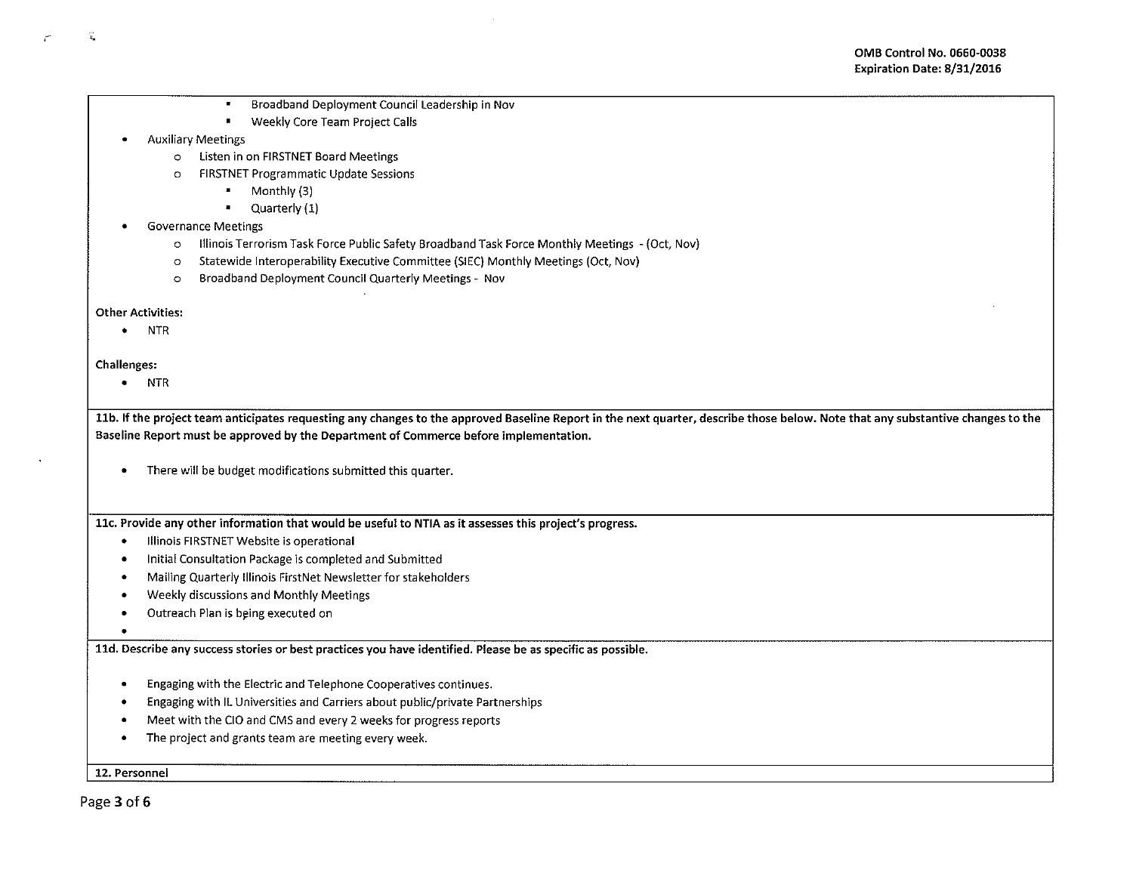- . Broadband Deployment Council leadership in Nov
- Weekly Core Team Project Calls

# • Auxiliary Meetings

- 0 listen in on FIRSTNET Board Meetings
- 0 FIRSTNET Programmatic Update Sessions
	- Monthly (3)
	- Quarterly (1)

# • Governance Meetings

- 0 Illinois Terrorism Task Force Public Safety Broadband Task Force Monthly Meetings -(Oct, Nov)
- 0 Statewide lnteroperability Executive Committee (SIEC) Monthly Meetings (Oct, Nov)
- 0 Broadband Deployment Council Quarterly Meetings- Nov

### Other Activities:

• NTR

# Challenges:

,  $x_n$ 

• NTR

11b. If the project team anticipates requesting any changes to the approved Baseline Report in the next quarter, describe those below. Note that any substantive changes to the Baseline Report must be approved by the Department of Commerce before implementation.

• There will be budget modifications submitted this quarter.

llc. Provide any other information that would be useful to NTIA as it assesses this project's progress.

- Illinois FIRSTNET Website is operational
- Initial Consultation Package is completed and Submitted
- Mailing Quarterly Illinois FirstNet Newsletter for stakeholders
- Weekly discussions and Monthly Meetings
- Outreach Plan is being executed on
- •

lld. Describe any success stories or best practices you have identified. Please be as specific as possible.

- Engaging with the Electric and Telephone Cooperatives continues .
- Engaging with ll Universities and Carriers about public/private Partnerships
- Meet with the CIO and CMS and every 2 weeks for progress reports
- The project and grants team are meeting every week .

12. Personnel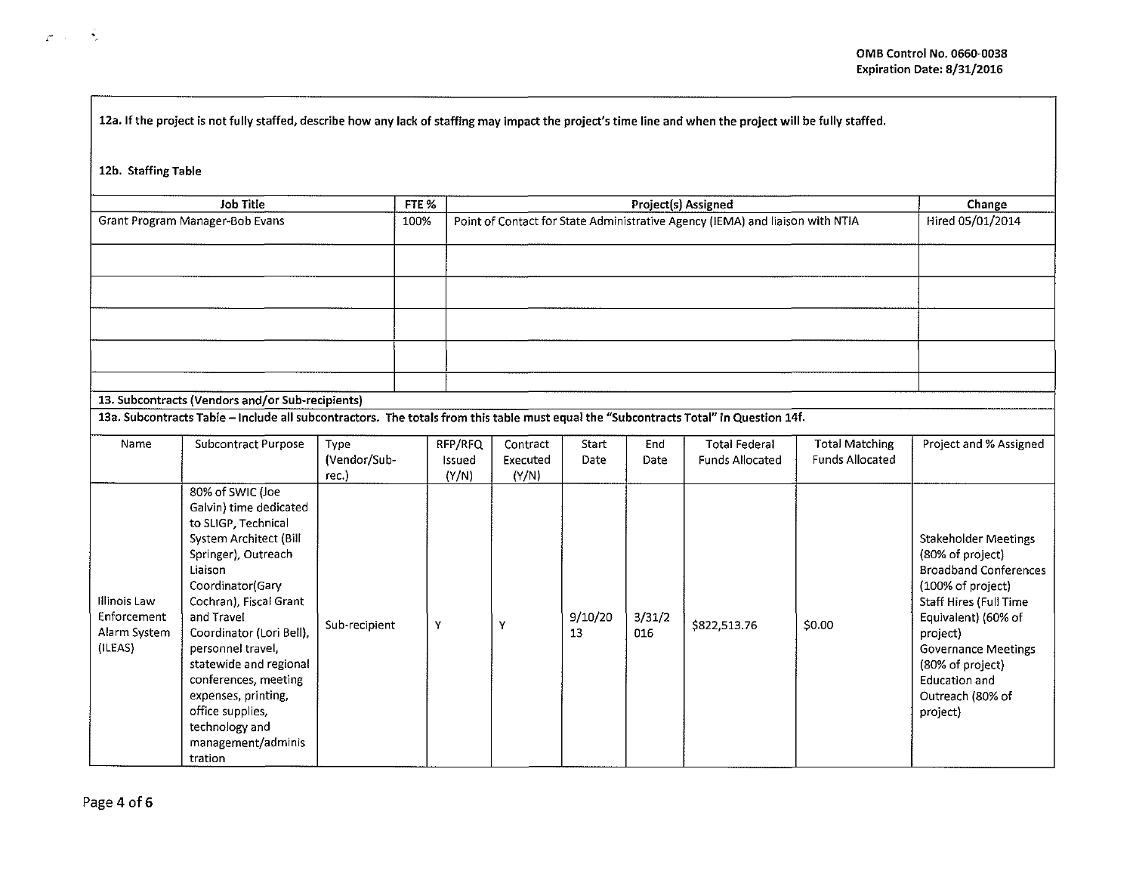| 12a. If the project is not fully staffed, describe how any lack of staffing may impact the project's time line and when the project will be fully staffed. |  |
|------------------------------------------------------------------------------------------------------------------------------------------------------------|--|
|------------------------------------------------------------------------------------------------------------------------------------------------------------|--|

12b. Staffing Table

 $\frac{1}{4}$  .  $\frac{1}{2}$ 

| <b>Job Title</b>                                 | FTE % | Project(s) Assigned                                                                                                                   | Change<br>Hired 05/01/2014 |  |
|--------------------------------------------------|-------|---------------------------------------------------------------------------------------------------------------------------------------|----------------------------|--|
| Grant Program Manager-Bob Evans                  | 100%  | Point of Contact for State Administrative Agency (IEMA) and liaison with NTIA                                                         |                            |  |
|                                                  |       |                                                                                                                                       |                            |  |
|                                                  |       |                                                                                                                                       |                            |  |
|                                                  |       |                                                                                                                                       |                            |  |
|                                                  |       |                                                                                                                                       |                            |  |
|                                                  |       |                                                                                                                                       |                            |  |
|                                                  |       |                                                                                                                                       |                            |  |
|                                                  |       |                                                                                                                                       |                            |  |
|                                                  |       |                                                                                                                                       |                            |  |
|                                                  |       |                                                                                                                                       |                            |  |
|                                                  |       |                                                                                                                                       |                            |  |
| 13. Subcontracts (Vendors and/or Sub-recipients) |       |                                                                                                                                       |                            |  |
|                                                  |       | 13a. Subcontracts Table - Include all subcontractors. The totals from this table must equal the "Subcontracts Total" in Question 14f. |                            |  |

# 13a. Subcontracts Table Include all subcontractors. The totals from this table must equal the {/Subcontracts Total" in Question 14f.

| Name                                                   | Subcontract Purpose                                                                                                                                                                                                                                                                                                                                                                        | Type<br>(Vendor/Sub-<br>rec. | RFP/RFQ<br>Issued<br>(Y/N) | Contract<br>Executed<br>(Y/N) | Start<br>Date | End<br>Date   | <b>Total Federal</b><br><b>Funds Allocated</b> | Total Matching<br><b>Funds Allocated</b> | Project and % Assigned                                                                                                                                                                                                                                 |
|--------------------------------------------------------|--------------------------------------------------------------------------------------------------------------------------------------------------------------------------------------------------------------------------------------------------------------------------------------------------------------------------------------------------------------------------------------------|------------------------------|----------------------------|-------------------------------|---------------|---------------|------------------------------------------------|------------------------------------------|--------------------------------------------------------------------------------------------------------------------------------------------------------------------------------------------------------------------------------------------------------|
| Illinois Law<br>Enforcement<br>Alarm System<br>(ILEAS) | 80% of SWIC (Joe<br>Galvin) time dedicated<br>to SLIGP, Technical<br>System Architect (Bill<br>Springer), Outreach<br>Liaison<br>Coordinator(Gary<br>Cochran), Fiscal Grant<br>and Travel<br>Coordinator (Lori Bell),<br>personnel travel,<br>statewide and regional<br>conferences, meeting<br>expenses, printing,<br>office supplies,<br>technology and<br>management/adminis<br>tration | Sub-recipient                | Y                          | Y                             | 9/10/20<br>13 | 3/31/2<br>016 | \$822,513.76                                   | \$0.00                                   | Stakeholder Meetings<br>(80% of project)<br><b>Broadband Conferences</b><br>(100% of project)<br>Staff Hires (Full Time<br>Equivalent) (60% of<br>project)<br>Governance Meetings<br>(80% of project)<br>Education and<br>Outreach (80% of<br>project) |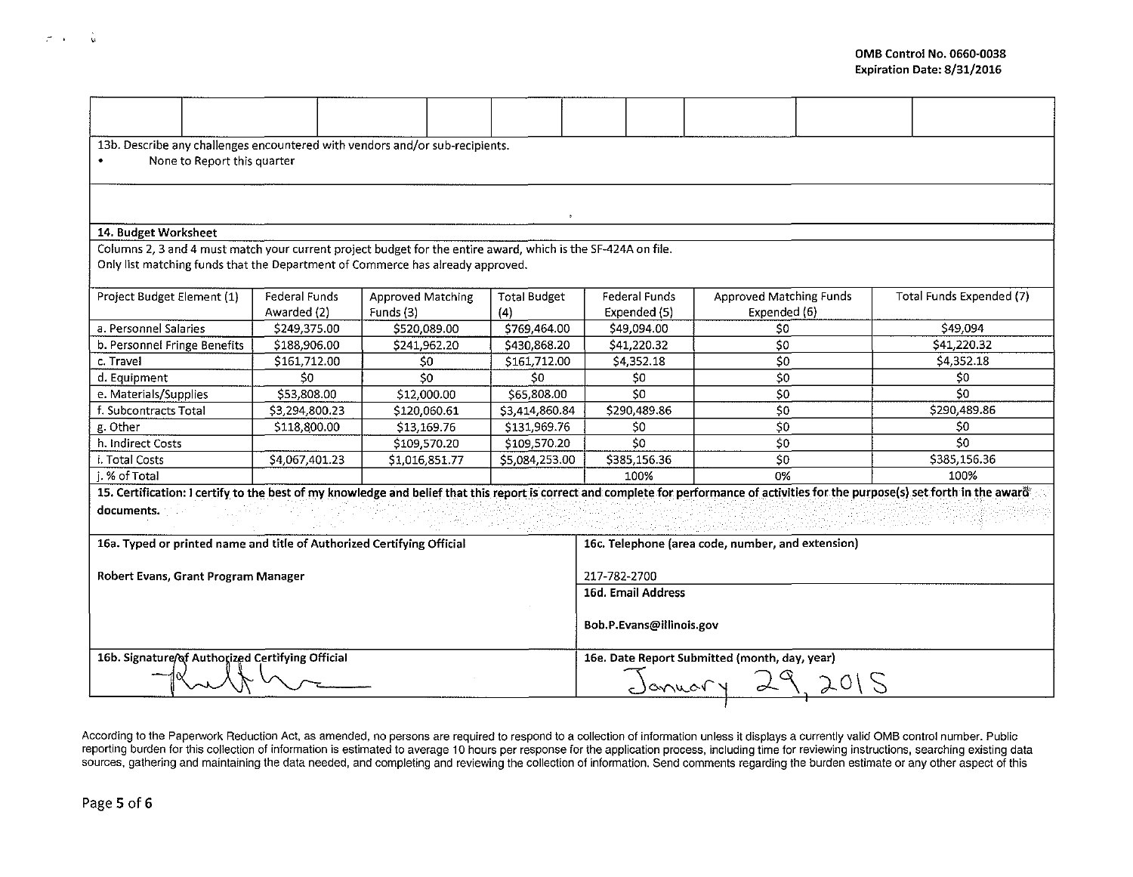| 13b. Describe any challenges encountered with vendors and/or sub-recipients.                                                          |                |                          |                          |                                                   |                                                                                                                                                                                      |                          |  |  |  |  |
|---------------------------------------------------------------------------------------------------------------------------------------|----------------|--------------------------|--------------------------|---------------------------------------------------|--------------------------------------------------------------------------------------------------------------------------------------------------------------------------------------|--------------------------|--|--|--|--|
| None to Report this quarter                                                                                                           |                |                          |                          |                                                   |                                                                                                                                                                                      |                          |  |  |  |  |
|                                                                                                                                       |                |                          |                          |                                                   |                                                                                                                                                                                      |                          |  |  |  |  |
|                                                                                                                                       |                |                          |                          |                                                   |                                                                                                                                                                                      |                          |  |  |  |  |
|                                                                                                                                       |                |                          |                          |                                                   |                                                                                                                                                                                      |                          |  |  |  |  |
| 14. Budget Worksheet<br>Columns 2, 3 and 4 must match your current project budget for the entire award, which is the SF-424A on file. |                |                          |                          |                                                   |                                                                                                                                                                                      |                          |  |  |  |  |
|                                                                                                                                       |                |                          |                          |                                                   |                                                                                                                                                                                      |                          |  |  |  |  |
| Only list matching funds that the Department of Commerce has already approved.                                                        |                |                          |                          |                                                   |                                                                                                                                                                                      |                          |  |  |  |  |
| Project Budget Element (1)                                                                                                            | Federal Funds  | <b>Approved Matching</b> | <b>Total Budget</b>      | Federal Funds                                     | Approved Matching Funds                                                                                                                                                              | Total Funds Expended (7) |  |  |  |  |
|                                                                                                                                       | Awarded (2)    | Funds (3)                | (4)                      | Expended (5)                                      | Expended (6)                                                                                                                                                                         |                          |  |  |  |  |
| a. Personnel Salaries                                                                                                                 | \$249,375.00   | \$520,089.00             | \$769,464.00             | \$49,094.00                                       | \$0                                                                                                                                                                                  | \$49,094                 |  |  |  |  |
| b. Personnel Fringe Benefits                                                                                                          | \$188,906.00   | \$241,962.20             | \$430,868.20             | \$41,220.32                                       | \$0                                                                                                                                                                                  | \$41,220.32              |  |  |  |  |
| c. Travel                                                                                                                             | \$161,712.00   | 50                       | \$161,712.00             | \$4,352.18                                        | \$0                                                                                                                                                                                  | \$4,352.18               |  |  |  |  |
| d. Equipment                                                                                                                          | \$0            | 50                       | \$0                      | \$0                                               | \$0                                                                                                                                                                                  | \$0                      |  |  |  |  |
| e. Materials/Supplies                                                                                                                 | \$53,808.00    | \$12,000.00              | \$65,808.00              | \$O                                               | \$0                                                                                                                                                                                  | \$0                      |  |  |  |  |
| f. Subcontracts Total                                                                                                                 | \$3,294,800.23 | \$120,060.61             | \$3,414,860.84           | \$290,489.86                                      | \$0                                                                                                                                                                                  | \$290,489.86             |  |  |  |  |
| g. Other                                                                                                                              | \$118,800.00   | \$13,169.76              | \$131,969.76             | \$0                                               | $\overline{\xi_0}$                                                                                                                                                                   | \$0                      |  |  |  |  |
| h. Indirect Costs                                                                                                                     |                | \$109,570.20             | \$109,570.20             | \$C                                               | $\overline{50}$                                                                                                                                                                      | \$0                      |  |  |  |  |
| i. Total Costs                                                                                                                        | \$4,067,401.23 | \$1,016,851.77           | \$5,084,253.00           | \$385,156.36                                      | \$0                                                                                                                                                                                  | \$385,156.36             |  |  |  |  |
| i. % of Total                                                                                                                         |                |                          |                          | 100%                                              | 0%                                                                                                                                                                                   | 100%                     |  |  |  |  |
|                                                                                                                                       |                |                          |                          |                                                   | 15. Certification: I certify to the best of my knowledge and belief that this report is correct and complete for performance of activities for the purpose(s) set forth in the award |                          |  |  |  |  |
| documents.                                                                                                                            |                |                          |                          |                                                   |                                                                                                                                                                                      |                          |  |  |  |  |
|                                                                                                                                       |                |                          |                          |                                                   |                                                                                                                                                                                      |                          |  |  |  |  |
| 16a. Typed or printed name and title of Authorized Certifying Official                                                                |                |                          |                          | 16c. Telephone (area code, number, and extension) |                                                                                                                                                                                      |                          |  |  |  |  |
|                                                                                                                                       |                |                          |                          |                                                   |                                                                                                                                                                                      |                          |  |  |  |  |
| Robert Evans, Grant Program Manager                                                                                                   |                |                          |                          | 217-782-2700                                      |                                                                                                                                                                                      |                          |  |  |  |  |
|                                                                                                                                       |                |                          | 16d. Email Address       |                                                   |                                                                                                                                                                                      |                          |  |  |  |  |
|                                                                                                                                       |                |                          | Bob.P.Evans@illinois.gov |                                                   |                                                                                                                                                                                      |                          |  |  |  |  |
|                                                                                                                                       |                |                          |                          |                                                   |                                                                                                                                                                                      |                          |  |  |  |  |
|                                                                                                                                       |                |                          |                          |                                                   |                                                                                                                                                                                      |                          |  |  |  |  |
| 16b. Signature/of Authorized Certifying Official                                                                                      |                |                          |                          | 16e. Date Report Submitted (month, day, year)     |                                                                                                                                                                                      |                          |  |  |  |  |
|                                                                                                                                       |                |                          |                          |                                                   | January 29<br>2015                                                                                                                                                                   |                          |  |  |  |  |
|                                                                                                                                       |                |                          |                          |                                                   |                                                                                                                                                                                      |                          |  |  |  |  |

According to the Paperwork Reduction Act, as amended, no persons are required to respond to a collection of information unless it displays a currently valid OMB control number. Public reporting burden for this collection of information is estimated to average 10 hours per response for the application process, including time for reviewing instructions, searching existing data sources, gathering and maintaining the data needed, and completing and reviewing the collection of information. Send comments regarding the burden estimate or any other aspect of this

"

 $\mathcal{L}^{\text{max}}$  , and